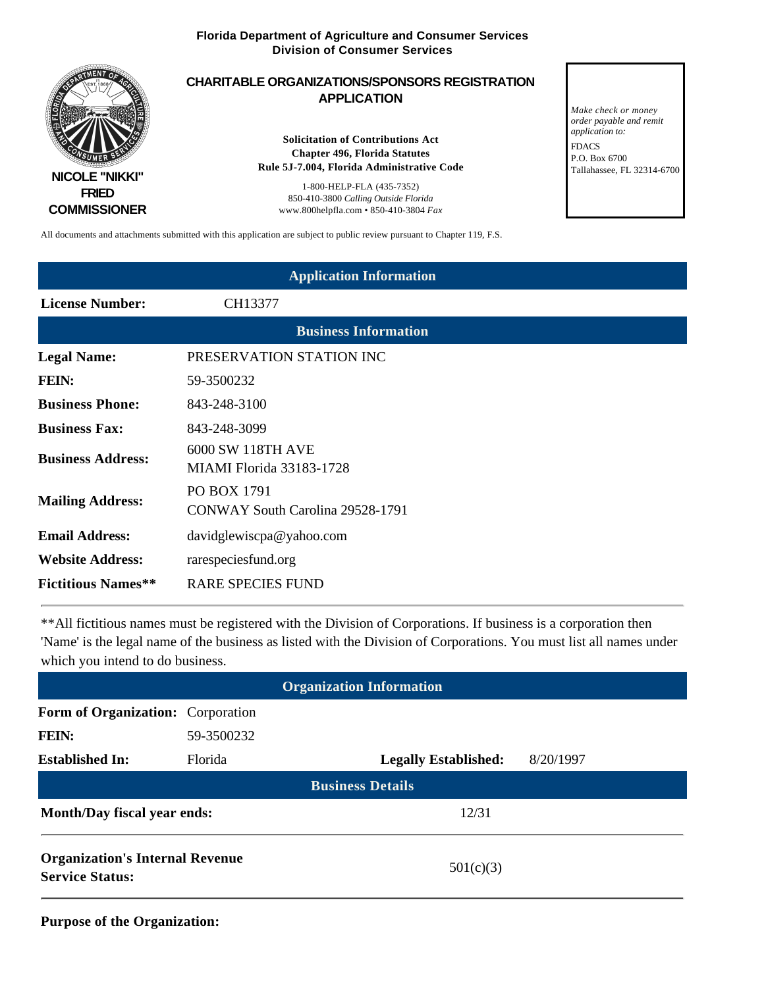

All documents and attachments submitted with this application are subject to public review pursuant to Chapter 119, F.S.

| <b>Application Information</b> |                                                      |  |
|--------------------------------|------------------------------------------------------|--|
| <b>License Number:</b>         | CH13377                                              |  |
|                                | <b>Business Information</b>                          |  |
| <b>Legal Name:</b>             | PRESERVATION STATION INC                             |  |
| FEIN:                          | 59-3500232                                           |  |
| <b>Business Phone:</b>         | 843-248-3100                                         |  |
| <b>Business Fax:</b>           | 843-248-3099                                         |  |
| <b>Business Address:</b>       | 6000 SW 118TH AVE<br><b>MIAMI</b> Florida 33183-1728 |  |
| <b>Mailing Address:</b>        | PO BOX 1791<br>CONWAY South Carolina 29528-1791      |  |
| <b>Email Address:</b>          | davidglewiscpa@yahoo.com                             |  |
| <b>Website Address:</b>        | rarespeciesfund.org                                  |  |
| <b>Fictitious Names**</b>      | <b>RARE SPECIES FUND</b>                             |  |

\*\*All fictitious names must be registered with the Division of Corporations. If business is a corporation then 'Name' is the legal name of the business as listed with the Division of Corporations. You must list all names under which you intend to do business.

| <b>Organization Information</b>                                  |            |                             |           |
|------------------------------------------------------------------|------------|-----------------------------|-----------|
| Form of Organization: Corporation                                |            |                             |           |
| FEIN:                                                            | 59-3500232 |                             |           |
| <b>Established In:</b>                                           | Florida    | <b>Legally Established:</b> | 8/20/1997 |
| <b>Business Details</b>                                          |            |                             |           |
| <b>Month/Day fiscal year ends:</b><br>12/31                      |            |                             |           |
| <b>Organization's Internal Revenue</b><br><b>Service Status:</b> |            | 501(c)(3)                   |           |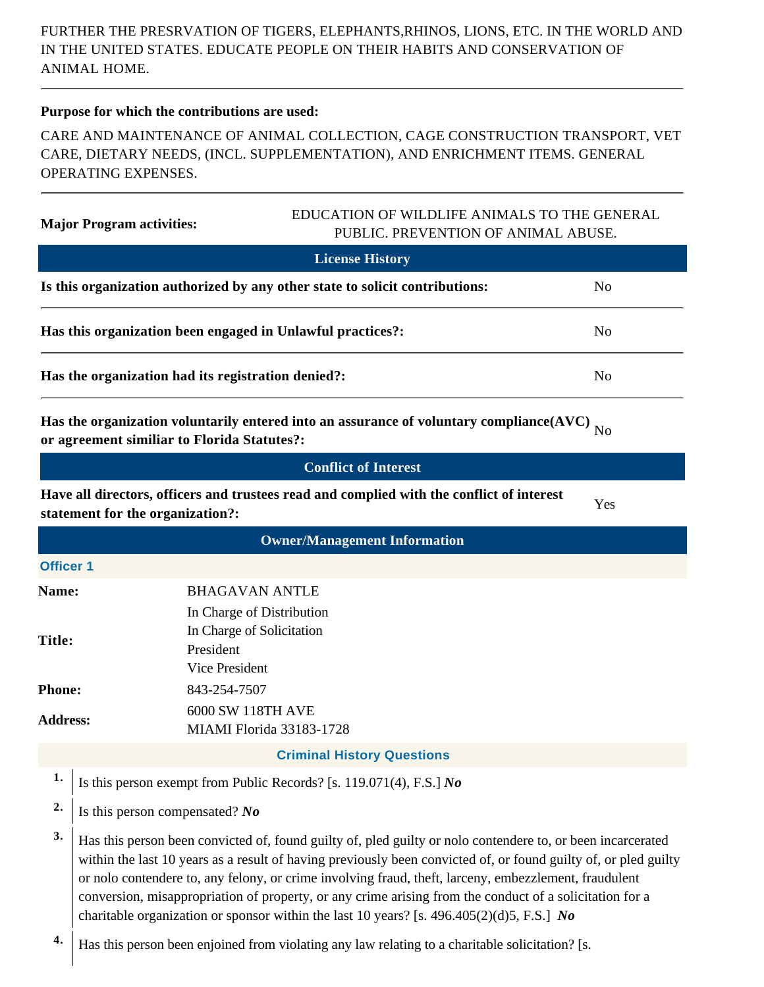FURTHER THE PRESRVATION OF TIGERS, ELEPHANTS,RHINOS, LIONS, ETC. IN THE WORLD AND IN THE UNITED STATES. EDUCATE PEOPLE ON THEIR HABITS AND CONSERVATION OF ANIMAL HOME.

### **Purpose for which the contributions are used:**

CARE AND MAINTENANCE OF ANIMAL COLLECTION, CAGE CONSTRUCTION TRANSPORT, VET CARE, DIETARY NEEDS, (INCL. SUPPLEMENTATION), AND ENRICHMENT ITEMS. GENERAL OPERATING EXPENSES.

# **Major Program activities:** EDUCATION OF WILDLIFE ANIMALS TO THE GENERAL PUBLIC. PREVENTION OF ANIMAL ABUSE.

| <b>License History</b>                                                       |                |
|------------------------------------------------------------------------------|----------------|
| Is this organization authorized by any other state to solicit contributions: | N <sub>0</sub> |
| Has this organization been engaged in Unlawful practices?:                   | No.            |
| Has the organization had its registration denied?:                           | No.            |

Has the organization voluntarily entered into an assurance of voluntary compliance(AVC)  $_{\rm No}$  or agreement similiar to Florida Statutes?:

**Have all directors, officers and trustees read and complied with the conflict of interest** statement for the organization?:

| <b>Owner/Management Information</b> |                                                                                                                                                                                                                                                                                                                                                                                                                                                                                                                                                 |  |  |
|-------------------------------------|-------------------------------------------------------------------------------------------------------------------------------------------------------------------------------------------------------------------------------------------------------------------------------------------------------------------------------------------------------------------------------------------------------------------------------------------------------------------------------------------------------------------------------------------------|--|--|
| <b>Officer 1</b>                    |                                                                                                                                                                                                                                                                                                                                                                                                                                                                                                                                                 |  |  |
| <b>Name:</b>                        | <b>BHAGAVAN ANTLE</b>                                                                                                                                                                                                                                                                                                                                                                                                                                                                                                                           |  |  |
| Title:                              | In Charge of Distribution<br>In Charge of Solicitation<br>President<br>Vice President                                                                                                                                                                                                                                                                                                                                                                                                                                                           |  |  |
| <b>Phone:</b>                       | 843-254-7507                                                                                                                                                                                                                                                                                                                                                                                                                                                                                                                                    |  |  |
| <b>Address:</b>                     | 6000 SW 118TH AVE<br>MIAMI Florida 33183-1728                                                                                                                                                                                                                                                                                                                                                                                                                                                                                                   |  |  |
|                                     | <b>Criminal History Questions</b>                                                                                                                                                                                                                                                                                                                                                                                                                                                                                                               |  |  |
| 1.                                  | Is this person exempt from Public Records? [s. 119.071(4), F.S.] $No$                                                                                                                                                                                                                                                                                                                                                                                                                                                                           |  |  |
| 2.                                  | Is this person compensated? $No$                                                                                                                                                                                                                                                                                                                                                                                                                                                                                                                |  |  |
| 3.                                  | Has this person been convicted of, found guilty of, pled guilty or nolo contendere to, or been incarcerated<br>within the last 10 years as a result of having previously been convicted of, or found guilty of, or pled guilty<br>or nolo contendere to, any felony, or crime involving fraud, theft, larceny, embezzlement, fraudulent<br>conversion, misappropriation of property, or any crime arising from the conduct of a solicitation for a<br>charitable organization or sponsor within the last 10 years? [s. 496.405(2)(d)5, F.S.] No |  |  |
|                                     |                                                                                                                                                                                                                                                                                                                                                                                                                                                                                                                                                 |  |  |

**4.** Has this person been enjoined from violating any law relating to a charitable solicitation? [s.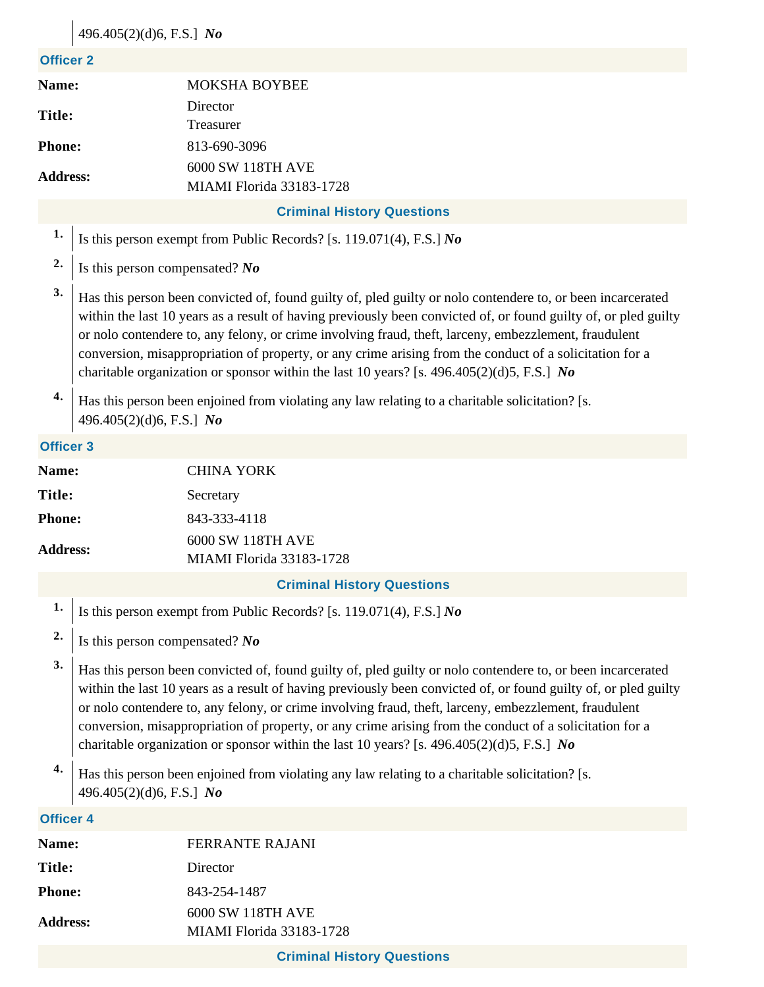# 496.405(2)(d)6, F.S.] *No*

#### **Officer 2**

| Name:           | <b>MOKSHA BOYBEE</b>     |
|-----------------|--------------------------|
|                 | Director                 |
| Title:          | Treasurer                |
| <b>Phone:</b>   | 813-690-3096             |
|                 | 6000 SW 118TH AVE        |
| <b>Address:</b> | MIAMI Florida 33183-1728 |

## **Criminal History Questions**

- **1.** Is this person exempt from Public Records? [s. 119.071(4), F.S.] *No*
- **2.** Is this person compensated? *No*
- **3.** Has this person been convicted of, found guilty of, pled guilty or nolo contendere to, or been incarcerated within the last 10 years as a result of having previously been convicted of, or found guilty of, or pled guilty or nolo contendere to, any felony, or crime involving fraud, theft, larceny, embezzlement, fraudulent conversion, misappropriation of property, or any crime arising from the conduct of a solicitation for a charitable organization or sponsor within the last 10 years? [s. 496.405(2)(d)5, F.S.] *No*
- **4.** Has this person been enjoined from violating any law relating to a charitable solicitation? [s. 496.405(2)(d)6, F.S.] *No*

#### **Officer 3**

| Name:                             |                                                                                                                                                                                                                                                                                                                                         | <b>CHINA YORK</b>                             |  |
|-----------------------------------|-----------------------------------------------------------------------------------------------------------------------------------------------------------------------------------------------------------------------------------------------------------------------------------------------------------------------------------------|-----------------------------------------------|--|
| Title:                            |                                                                                                                                                                                                                                                                                                                                         | Secretary                                     |  |
| <b>Phone:</b>                     |                                                                                                                                                                                                                                                                                                                                         | 843-333-4118                                  |  |
| <b>Address:</b>                   |                                                                                                                                                                                                                                                                                                                                         | 6000 SW 118TH AVE<br>MIAMI Florida 33183-1728 |  |
| <b>Criminal History Questions</b> |                                                                                                                                                                                                                                                                                                                                         |                                               |  |
|                                   | Is this person exempt from Public Records? [s. 119.071(4), F.S.] No                                                                                                                                                                                                                                                                     |                                               |  |
| $\mathbf{2}$ .                    | Is this person compensated? No                                                                                                                                                                                                                                                                                                          |                                               |  |
| 3.                                | Has this person been convicted of, found guilty of, pled guilty or nolo contendere to, or been incarcerated<br>within the last 10 years as a result of having previously been convicted of, or found guilty of, or pled guilty<br>or nolo contendere to, any felony, or crime involving fraud, theft, larceny, embezzlement, fraudulent |                                               |  |

- conversion, misappropriation of property, or any crime arising from the conduct of a solicitation for a charitable organization or sponsor within the last 10 years? [s. 496.405(2)(d)5, F.S.] *No*
- **4.** Has this person been enjoined from violating any law relating to a charitable solicitation? [s. 496.405(2)(d)6, F.S.] *No*

#### **Officer 4**

| FERRANTE RAJANI                                      |
|------------------------------------------------------|
| Director                                             |
| 843-254-1487                                         |
| 6000 SW 118TH AVE<br><b>MIAMI</b> Florida 33183-1728 |
|                                                      |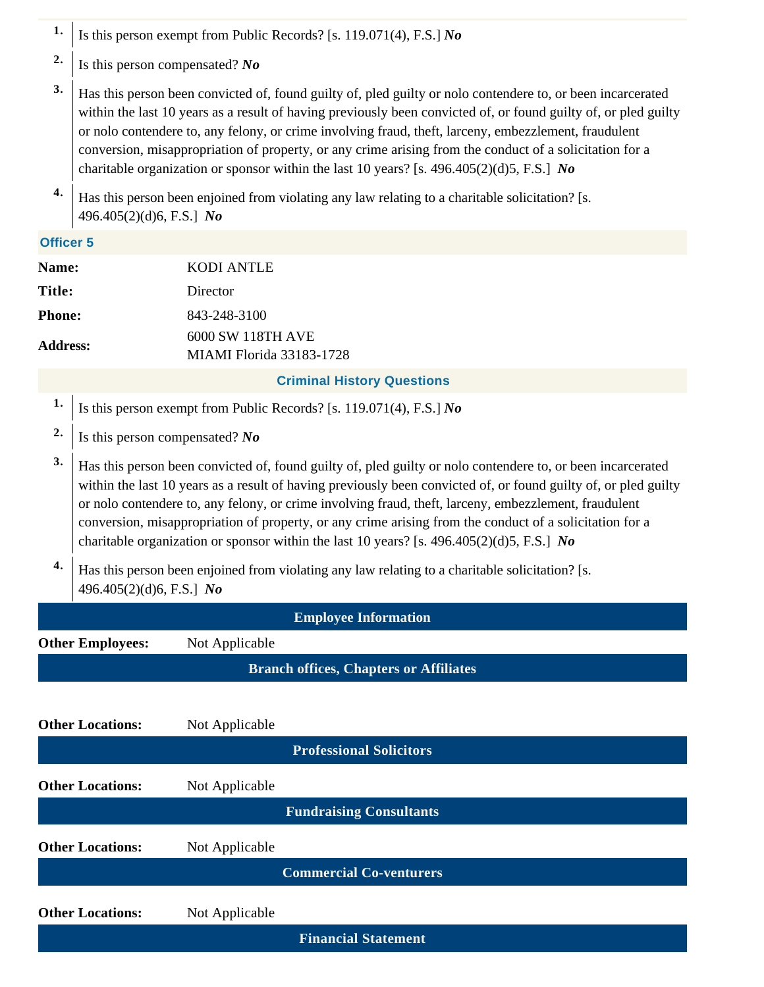- **1.** Is this person exempt from Public Records? [s. 119.071(4), F.S.] *No*
- **2.** Is this person compensated? *No*
- **3.** Has this person been convicted of, found guilty of, pled guilty or nolo contendere to, or been incarcerated within the last 10 years as a result of having previously been convicted of, or found guilty of, or pled guilty or nolo contendere to, any felony, or crime involving fraud, theft, larceny, embezzlement, fraudulent conversion, misappropriation of property, or any crime arising from the conduct of a solicitation for a charitable organization or sponsor within the last 10 years? [s. 496.405(2)(d)5, F.S.] *No*
- **4.** Has this person been enjoined from violating any law relating to a charitable solicitation? [s. 496.405(2)(d)6, F.S.] *No*

### **Officer 5**

| Name:           | <b>KODI ANTLE</b>                                                                                                                                                                                                                                                                                                                                                                                                                                                                                                                               |  |  |
|-----------------|-------------------------------------------------------------------------------------------------------------------------------------------------------------------------------------------------------------------------------------------------------------------------------------------------------------------------------------------------------------------------------------------------------------------------------------------------------------------------------------------------------------------------------------------------|--|--|
| <b>Title:</b>   | Director                                                                                                                                                                                                                                                                                                                                                                                                                                                                                                                                        |  |  |
| <b>Phone:</b>   | 843-248-3100                                                                                                                                                                                                                                                                                                                                                                                                                                                                                                                                    |  |  |
| <b>Address:</b> | 6000 SW 118TH AVE<br><b>MIAMI</b> Florida 33183-1728                                                                                                                                                                                                                                                                                                                                                                                                                                                                                            |  |  |
|                 | <b>Criminal History Questions</b>                                                                                                                                                                                                                                                                                                                                                                                                                                                                                                               |  |  |
| 1.              | Is this person exempt from Public Records? [s. 119.071(4), F.S.] No                                                                                                                                                                                                                                                                                                                                                                                                                                                                             |  |  |
| 2.              | Is this person compensated? No                                                                                                                                                                                                                                                                                                                                                                                                                                                                                                                  |  |  |
| 3.              | Has this person been convicted of, found guilty of, pled guilty or nolo contendere to, or been incarcerated<br>within the last 10 years as a result of having previously been convicted of, or found guilty of, or pled guilty<br>or nolo contendere to, any felony, or crime involving fraud, theft, larceny, embezzlement, fraudulent<br>conversion, misappropriation of property, or any crime arising from the conduct of a solicitation for a<br>charitable organization or sponsor within the last 10 years? [s. 496.405(2)(d)5, F.S.] No |  |  |
| 4.              | Has this person been enjoined from violating any law relating to a charitable solicitation? [s.                                                                                                                                                                                                                                                                                                                                                                                                                                                 |  |  |

496.405(2)(d)6, F.S.] *No*

**Other Locations:** Not Applicable

**Employee Information Other Employees:** Not Applicable **Branch offices, Chapters or Affiliates**

| $11011$ ppm $1010$             |
|--------------------------------|
| <b>Professional Solicitors</b> |
| Not Applicable                 |
| <b>Fundraising Consultants</b> |
| Not Applicable                 |
| <b>Commercial Co-venturers</b> |
| Not Applicable                 |
| <b>Financial Statement</b>     |
|                                |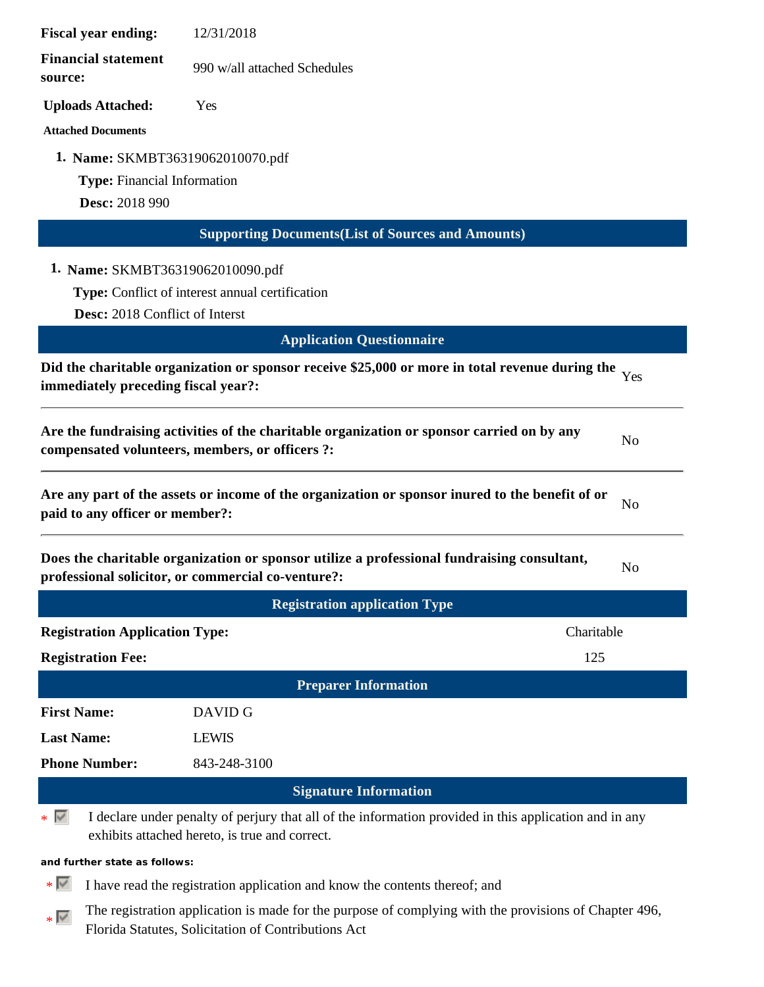| <b>Fiscal year ending:</b>            | 12/31/2018                                                                                                                                               |                |
|---------------------------------------|----------------------------------------------------------------------------------------------------------------------------------------------------------|----------------|
| <b>Financial statement</b><br>source: | 990 w/all attached Schedules                                                                                                                             |                |
| <b>Uploads Attached:</b>              | Yes                                                                                                                                                      |                |
| <b>Attached Documents</b>             |                                                                                                                                                          |                |
|                                       | 1. Name: SKMBT36319062010070.pdf                                                                                                                         |                |
| <b>Type:</b> Financial Information    |                                                                                                                                                          |                |
| Desc: 2018 990                        |                                                                                                                                                          |                |
|                                       | <b>Supporting Documents (List of Sources and Amounts)</b>                                                                                                |                |
|                                       | 1. Name: SKMBT36319062010090.pdf                                                                                                                         |                |
|                                       | Type: Conflict of interest annual certification                                                                                                          |                |
| Desc: 2018 Conflict of Interst        |                                                                                                                                                          |                |
|                                       | <b>Application Questionnaire</b>                                                                                                                         |                |
|                                       | Did the charitable organization or sponsor receive \$25,000 or more in total revenue during the                                                          | Yes            |
| immediately preceding fiscal year?:   |                                                                                                                                                          |                |
|                                       | Are the fundraising activities of the charitable organization or sponsor carried on by any<br>compensated volunteers, members, or officers ?:            | No             |
| paid to any officer or member?:       | Are any part of the assets or income of the organization or sponsor inured to the benefit of or                                                          | N <sub>o</sub> |
|                                       | Does the charitable organization or sponsor utilize a professional fundraising consultant,<br>professional solicitor, or commercial co-venture?:         | N <sub>o</sub> |
|                                       | <b>Registration application Type</b>                                                                                                                     |                |
| <b>Registration Application Type:</b> | Charitable                                                                                                                                               |                |
| <b>Registration Fee:</b>              | 125                                                                                                                                                      |                |
|                                       | <b>Preparer Information</b>                                                                                                                              |                |
| <b>First Name:</b>                    | DAVID G                                                                                                                                                  |                |
| <b>Last Name:</b>                     | <b>LEWIS</b>                                                                                                                                             |                |
| <b>Phone Number:</b>                  | 843-248-3100                                                                                                                                             |                |
|                                       | <b>Signature Information</b>                                                                                                                             |                |
| $\ast \sqrt{2}$                       | I declare under penalty of perjury that all of the information provided in this application and in any<br>exhibits attached hereto, is true and correct. |                |
| and further state as follows:         |                                                                                                                                                          |                |
| ∗ ⊮                                   | I have read the registration application and know the contents thereof; and                                                                              |                |
|                                       | The registration application is made for the purpose of complying with the provisions of Chapter 496,                                                    |                |

 $\ast$   $\overline{\mathbb{R}^{\ast}}$ 

Florida Statutes, Solicitation of Contributions Act